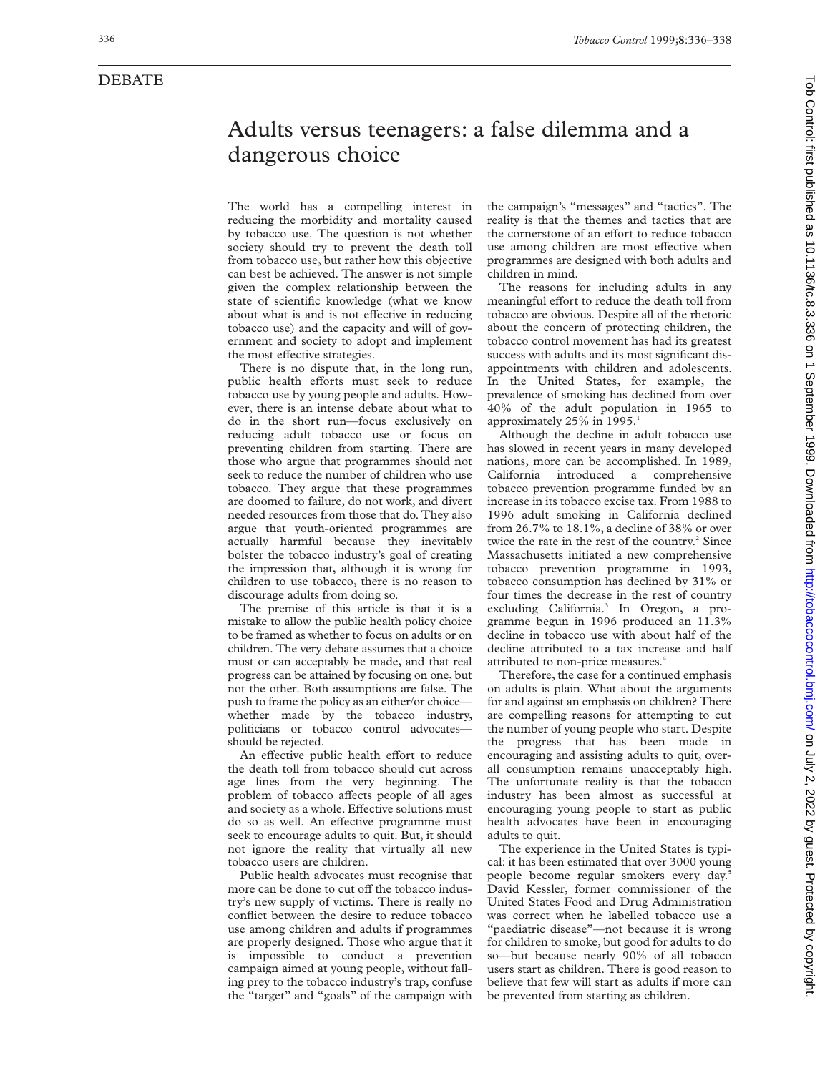## Adults versus teenagers: a false dilemma and a dangerous choice

The world has a compelling interest in reducing the morbidity and mortality caused by tobacco use. The question is not whether society should try to prevent the death toll from tobacco use, but rather how this objective can best be achieved. The answer is not simple given the complex relationship between the state of scientific knowledge (what we know about what is and is not effective in reducing tobacco use) and the capacity and will of government and society to adopt and implement the most effective strategies.

There is no dispute that, in the long run, public health efforts must seek to reduce tobacco use by young people and adults. However, there is an intense debate about what to do in the short run—focus exclusively on reducing adult tobacco use or focus on preventing children from starting. There are those who argue that programmes should not seek to reduce the number of children who use tobacco. They argue that these programmes are doomed to failure, do not work, and divert needed resources from those that do. They also argue that youth-oriented programmes are actually harmful because they inevitably bolster the tobacco industry's goal of creating the impression that, although it is wrong for children to use tobacco, there is no reason to discourage adults from doing so.

The premise of this article is that it is a mistake to allow the public health policy choice to be framed as whether to focus on adults or on children. The very debate assumes that a choice must or can acceptably be made, and that real progress can be attained by focusing on one, but not the other. Both assumptions are false. The push to frame the policy as an either/or choice whether made by the tobacco industry, politicians or tobacco control advocatesshould be rejected.

An effective public health effort to reduce the death toll from tobacco should cut across age lines from the very beginning. The problem of tobacco affects people of all ages and society as a whole. Effective solutions must do so as well. An effective programme must seek to encourage adults to quit. But, it should not ignore the reality that virtually all new tobacco users are children.

Public health advocates must recognise that more can be done to cut off the tobacco industry's new supply of victims. There is really no conflict between the desire to reduce tobacco use among children and adults if programmes are properly designed. Those who argue that it is impossible to conduct a prevention campaign aimed at young people, without falling prey to the tobacco industry's trap, confuse the "target" and "goals" of the campaign with

the campaign's "messages" and "tactics". The reality is that the themes and tactics that are the cornerstone of an effort to reduce tobacco use among children are most effective when programmes are designed with both adults and children in mind.

The reasons for including adults in any meaningful effort to reduce the death toll from tobacco are obvious. Despite all of the rhetoric about the concern of protecting children, the tobacco control movement has had its greatest success with adults and its most significant disappointments with children and adolescents. In the United States, for example, the prevalence of smoking has declined from over 40% of the adult population in 1965 to approximately 25% in 1995.<sup>1</sup>

Although the decline in adult tobacco use has slowed in recent years in many developed nations, more can be accomplished. In 1989, California introduced a comprehensive tobacco prevention programme funded by an increase in its tobacco excise tax. From 1988 to 1996 adult smoking in California declined from 26.7% to 18.1%, a decline of 38% or over twice the rate in the rest of the country.<sup>2</sup> Since Massachusetts initiated a new comprehensive tobacco prevention programme in 1993, tobacco consumption has declined by 31% or four times the decrease in the rest of country excluding California.<sup>3</sup> In Oregon, a programme begun in 1996 produced an 11.3% decline in tobacco use with about half of the decline attributed to a tax increase and half attributed to non-price measures.<sup>4</sup>

Therefore, the case for a continued emphasis on adults is plain. What about the arguments for and against an emphasis on children? There are compelling reasons for attempting to cut the number of young people who start. Despite the progress that has been made in encouraging and assisting adults to quit, overall consumption remains unacceptably high. The unfortunate reality is that the tobacco industry has been almost as successful at encouraging young people to start as public health advocates have been in encouraging adults to quit.

The experience in the United States is typical: it has been estimated that over 3000 young people become regular smokers every day.5 David Kessler, former commissioner of the United States Food and Drug Administration was correct when he labelled tobacco use a "paediatric disease"—not because it is wrong for children to smoke, but good for adults to do so—but because nearly 90% of all tobacco users start as children. There is good reason to believe that few will start as adults if more can be prevented from starting as children.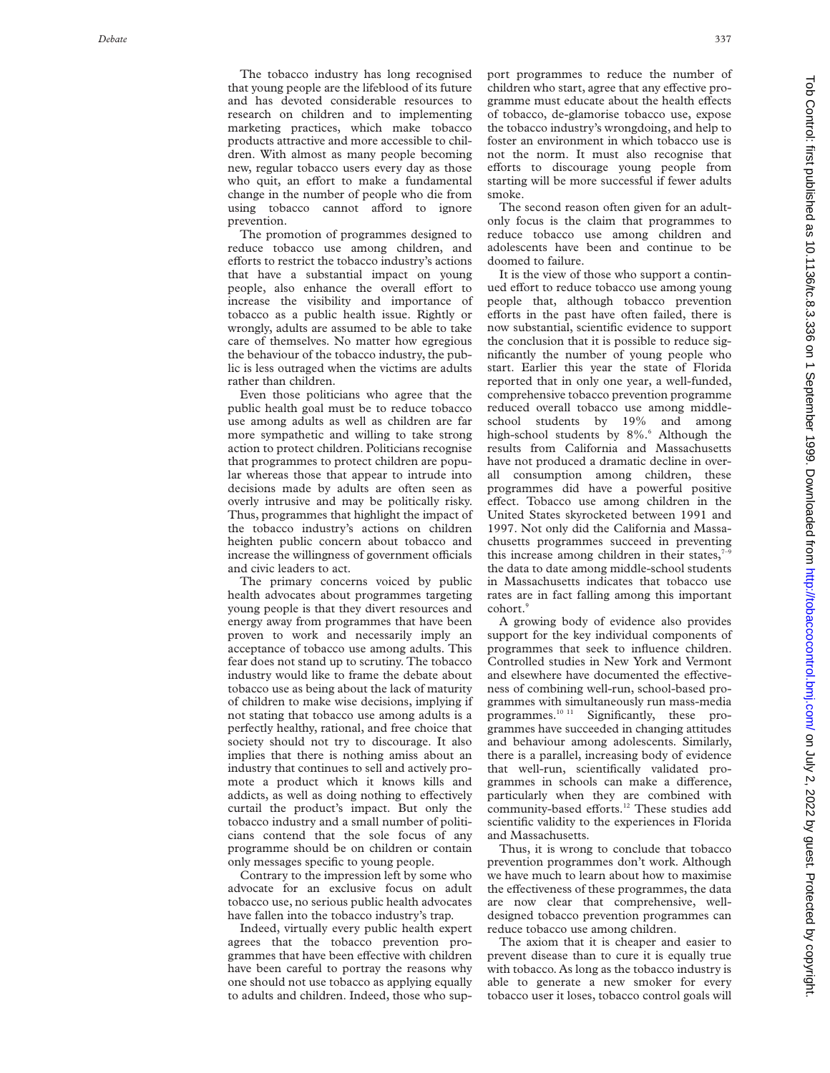The tobacco industry has long recognised that young people are the lifeblood of its future and has devoted considerable resources to research on children and to implementing marketing practices, which make tobacco products attractive and more accessible to children. With almost as many people becoming new, regular tobacco users every day as those who quit, an effort to make a fundamental change in the number of people who die from using tobacco cannot afford to ignore prevention.

The promotion of programmes designed to reduce tobacco use among children, and efforts to restrict the tobacco industry's actions that have a substantial impact on young people, also enhance the overall effort to increase the visibility and importance of tobacco as a public health issue. Rightly or wrongly, adults are assumed to be able to take care of themselves. No matter how egregious the behaviour of the tobacco industry, the public is less outraged when the victims are adults rather than children.

Even those politicians who agree that the public health goal must be to reduce tobacco use among adults as well as children are far more sympathetic and willing to take strong action to protect children. Politicians recognise that programmes to protect children are popular whereas those that appear to intrude into decisions made by adults are often seen as overly intrusive and may be politically risky. Thus, programmes that highlight the impact of the tobacco industry's actions on children heighten public concern about tobacco and increase the willingness of government officials and civic leaders to act.

The primary concerns voiced by public health advocates about programmes targeting young people is that they divert resources and energy away from programmes that have been proven to work and necessarily imply an acceptance of tobacco use among adults. This fear does not stand up to scrutiny. The tobacco industry would like to frame the debate about tobacco use as being about the lack of maturity of children to make wise decisions, implying if not stating that tobacco use among adults is a perfectly healthy, rational, and free choice that society should not try to discourage. It also implies that there is nothing amiss about an industry that continues to sell and actively promote a product which it knows kills and addicts, as well as doing nothing to effectively curtail the product's impact. But only the tobacco industry and a small number of politicians contend that the sole focus of any programme should be on children or contain only messages specific to young people.

Contrary to the impression left by some who advocate for an exclusive focus on adult tobacco use, no serious public health advocates have fallen into the tobacco industry's trap.

Indeed, virtually every public health expert agrees that the tobacco prevention programmes that have been effective with children have been careful to portray the reasons why one should not use tobacco as applying equally to adults and children. Indeed, those who support programmes to reduce the number of children who start, agree that any effective programme must educate about the health effects of tobacco, de-glamorise tobacco use, expose the tobacco industry's wrongdoing, and help to foster an environment in which tobacco use is not the norm. It must also recognise that efforts to discourage young people from starting will be more successful if fewer adults smoke.

The second reason often given for an adultonly focus is the claim that programmes to reduce tobacco use among children and adolescents have been and continue to be doomed to failure.

It is the view of those who support a continued effort to reduce tobacco use among young people that, although tobacco prevention efforts in the past have often failed, there is now substantial, scientific evidence to support the conclusion that it is possible to reduce significantly the number of young people who start. Earlier this year the state of Florida reported that in only one year, a well-funded, comprehensive tobacco prevention programme reduced overall tobacco use among middleschool students by 19% and among high-school students by 8%. <sup>6</sup> Although the results from California and Massachusetts have not produced a dramatic decline in overall consumption among children, these programmes did have a powerful positive effect. Tobacco use among children in the United States skyrocketed between 1991 and 1997. Not only did the California and Massachusetts programmes succeed in preventing this increase among children in their states, $7$ the data to date among middle-school students in Massachusetts indicates that tobacco use rates are in fact falling among this important cohort. 9

A growing body of evidence also provides support for the key individual components of programmes that seek to influence children. Controlled studies in New York and Vermont and elsewhere have documented the effectiveness of combining well-run, school-based programmes with simultaneously run mass-media programmes.<sup>10 11</sup> Significantly, these programmes have succeeded in changing attitudes and behaviour among adolescents. Similarly, there is a parallel, increasing body of evidence that well-run, scientifically validated programmes in schools can make a difference, particularly when they are combined with community-based efforts.<sup>12</sup> These studies add scientific validity to the experiences in Florida and Massachusetts.

Thus, it is wrong to conclude that tobacco prevention programmes don't work. Although we have much to learn about how to maximise the effectiveness of these programmes, the data are now clear that comprehensive, welldesigned tobacco prevention programmes can reduce tobacco use among children.

The axiom that it is cheaper and easier to prevent disease than to cure it is equally true with tobacco. As long as the tobacco industry is able to generate a new smoker for every tobacco user it loses, tobacco control goals will